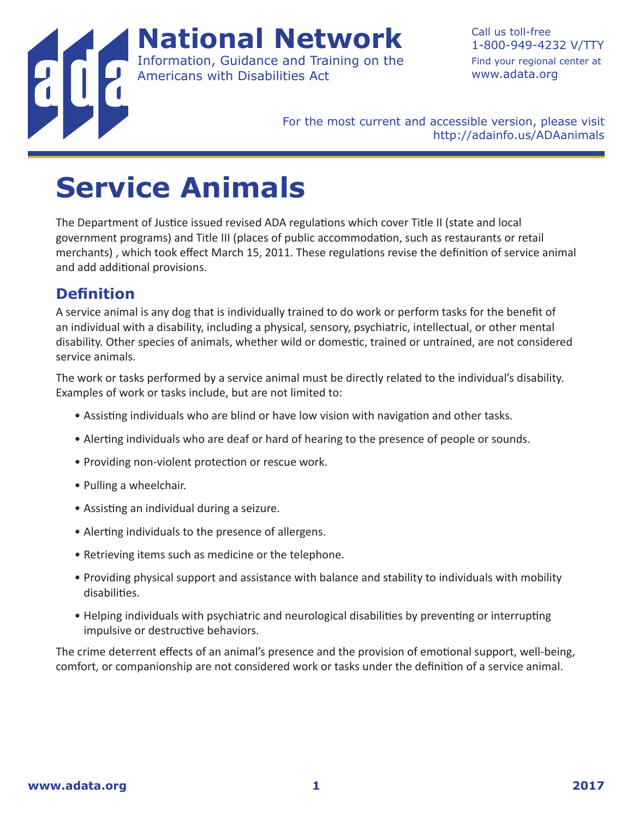

Call us toll-free 1-800-949-4232 V/TTY Find your regional center at www.adata.org

For the most current and accessible version, please visit http://adainfo.us/ADAanimals

## **Service Animals**

The Department of Justice issued revised ADA regulations which cover Title II (state and local government programs) and Title III (places of public accommodation, such as restaurants or retail merchants) , which took effect March 15, 2011. These regulations revise the definition of service animal and add additional provisions.

### **Definition**

A service animal is any dog that is individually trained to do work or perform tasks for the benefit of an individual with a disability, including a physical, sensory, psychiatric, intellectual, or other mental disability. Other species of animals, whether wild or domestic, trained or untrained, are not considered service animals.

The work or tasks performed by a service animal must be directly related to the individual's disability. Examples of work or tasks include, but are not limited to:

- Assisting individuals who are blind or have low vision with navigation and other tasks.
- Alerting individuals who are deaf or hard of hearing to the presence of people or sounds.
- Providing non-violent protection or rescue work.
- Pulling a wheelchair.
- Assisting an individual during a seizure.
- Alerting individuals to the presence of allergens.
- Retrieving items such as medicine or the telephone.
- Providing physical support and assistance with balance and stability to individuals with mobility disabilities.
- Helping individuals with psychiatric and neurological disabilities by preventing or interrupting impulsive or destructive behaviors.

The crime deterrent effects of an animal's presence and the provision of emotional support, well-being, comfort, or companionship are not considered work or tasks under the definition of a service animal.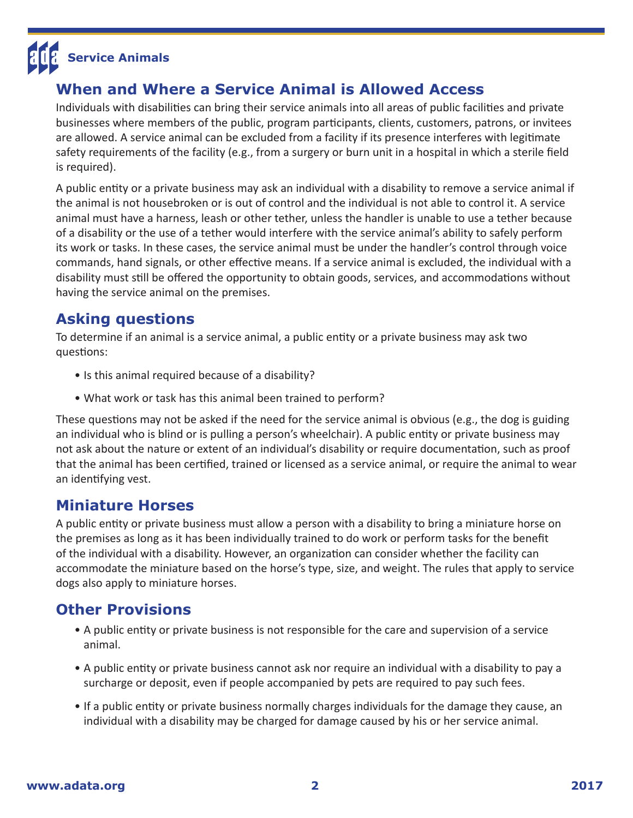# **Service Animals**

### **When and Where a Service Animal is Allowed Access**

Individuals with disabilities can bring their service animals into all areas of public facilities and private businesses where members of the public, program participants, clients, customers, patrons, or invitees are allowed. A service animal can be excluded from a facility if its presence interferes with legitimate safety requirements of the facility (e.g., from a surgery or burn unit in a hospital in which a sterile field is required).

A public entity or a private business may ask an individual with a disability to remove a service animal if the animal is not housebroken or is out of control and the individual is not able to control it. A service animal must have a harness, leash or other tether, unless the handler is unable to use a tether because of a disability or the use of a tether would interfere with the service animal's ability to safely perform its work or tasks. In these cases, the service animal must be under the handler's control through voice commands, hand signals, or other effective means. If a service animal is excluded, the individual with a disability must still be offered the opportunity to obtain goods, services, and accommodations without having the service animal on the premises.

### **Asking questions**

To determine if an animal is a service animal, a public entity or a private business may ask two questions:

- Is this animal required because of a disability?
- What work or task has this animal been trained to perform?

These questions may not be asked if the need for the service animal is obvious (e.g., the dog is guiding an individual who is blind or is pulling a person's wheelchair). A public entity or private business may not ask about the nature or extent of an individual's disability or require documentation, such as proof that the animal has been certified, trained or licensed as a service animal, or require the animal to wear an identifying vest.

#### **Miniature Horses**

A public entity or private business must allow a person with a disability to bring a miniature horse on the premises as long as it has been individually trained to do work or perform tasks for the benefit of the individual with a disability. However, an organization can consider whether the facility can accommodate the miniature based on the horse's type, size, and weight. The rules that apply to service dogs also apply to miniature horses.

#### **Other Provisions**

- A public entity or private business is not responsible for the care and supervision of a service animal.
- A public entity or private business cannot ask nor require an individual with a disability to pay a surcharge or deposit, even if people accompanied by pets are required to pay such fees.
- If a public entity or private business normally charges individuals for the damage they cause, an individual with a disability may be charged for damage caused by his or her service animal.